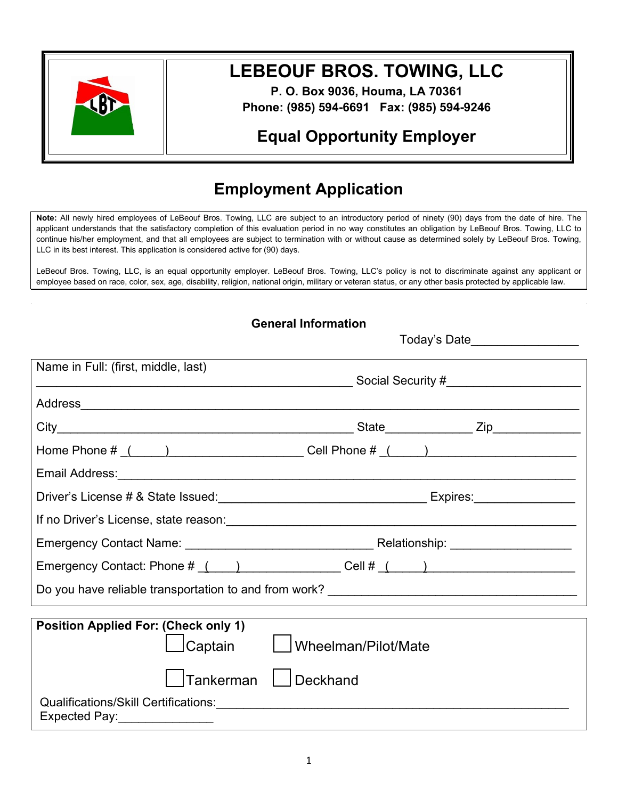

# **LEBEOUF BROS. TOWING, LLC**

**P. O. Box 9036, Houma, LA 70361 Phone: (985) 594-6691 Fax: (985) 594-9246**

## **Equal Opportunity Employer**

## **Employment Application**

**Note:** All newly hired employees of LeBeouf Bros. Towing, LLC are subject to an introductory period of ninety (90) days from the date of hire. The applicant understands that the satisfactory completion of this evaluation period in no way constitutes an obligation by LeBeouf Bros. Towing, LLC to continue his/her employment, and that all employees are subject to termination with or without cause as determined solely by LeBeouf Bros. Towing, LLC in its best interest. This application is considered active for (90) days.

LeBeouf Bros. Towing, LLC, is an equal opportunity employer. LeBeouf Bros. Towing, LLC's policy is not to discriminate against any applicant or employee based on race, color, sex, age, disability, religion, national origin, military or veteran status, or any other basis protected by applicable law.

|                                                        | <b>General Information</b>                                                              |
|--------------------------------------------------------|-----------------------------------------------------------------------------------------|
|                                                        | Today's Date__________________                                                          |
| Name in Full: (first, middle, last)                    |                                                                                         |
|                                                        |                                                                                         |
|                                                        | _State________________ Zip______________                                                |
|                                                        | Home Phone $\#\_\_\_\_\_\_\_\_\_\_\_\_\_\_\_\_\_\_\_\_\_\_\_\_\_\_\_ \$                 |
|                                                        |                                                                                         |
|                                                        |                                                                                         |
|                                                        |                                                                                         |
|                                                        |                                                                                         |
|                                                        | Emergency Contact: Phone $\#$ ( ) ____________ Cell $\#$ ( ____) ______________________ |
|                                                        |                                                                                         |
|                                                        |                                                                                         |
| <b>Position Applied For: (Check only 1)</b><br>Captain | Wheelman/Pilot/Mate                                                                     |
| Tankerman                                              | Deckhand                                                                                |
| Expected Pay:_____________                             |                                                                                         |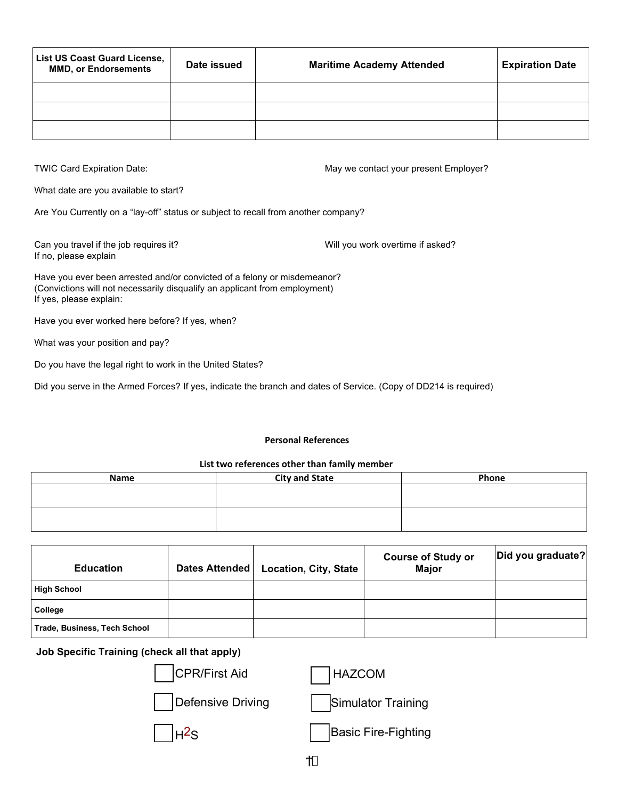| <b>List US Coast Guard License,</b><br><b>MMD, or Endorsements</b> | Date issued | <b>Maritime Academy Attended</b> | <b>Expiration Date</b> |
|--------------------------------------------------------------------|-------------|----------------------------------|------------------------|
|                                                                    |             |                                  |                        |
|                                                                    |             |                                  |                        |
|                                                                    |             |                                  |                        |

TWIC Card Expiration Date: May we contact your present Employer?

What date are you available to start?

Are You Currently on a "lay-off" status or subject to recall from another company?

Can you travel if the job requires it? The state of the state of the Will you work overtime if asked? If no, please explain

Have you ever been arrested and/or convicted of a felony or misdemeanor? (Convictions will not necessarily disqualify an applicant from employment) If yes, please explain:

Have you ever worked here before? If yes, when?

What was your position and pay?

Do you have the legal right to work in the United States?

Did you serve in the Armed Forces? If yes, indicate the branch and dates of Service. (Copy of DD214 is required)

### **Personal References**

## **List two references other than family member**

| Name | <b>City and State</b> | Phone |
|------|-----------------------|-------|
|      |                       |       |
|      |                       |       |
|      |                       |       |
|      |                       |       |

| <b>Education</b>             | Dates Attended | <b>Location, City, State</b> | <b>Course of Study or</b><br><b>Major</b> | Did you graduate? |
|------------------------------|----------------|------------------------------|-------------------------------------------|-------------------|
| <b>High School</b>           |                |                              |                                           |                   |
| College                      |                |                              |                                           |                   |
| Trade, Business, Tech School |                |                              |                                           |                   |

Ϯ

## **Job Specific Training (check all that apply)**

| ecific Training (check all that apply). |                            |
|-----------------------------------------|----------------------------|
| CPR/First Aid                           | HAZCOM                     |
| Defensive Driving                       | <b>Simulator Training</b>  |
|                                         | <b>Basic Fire-Fighting</b> |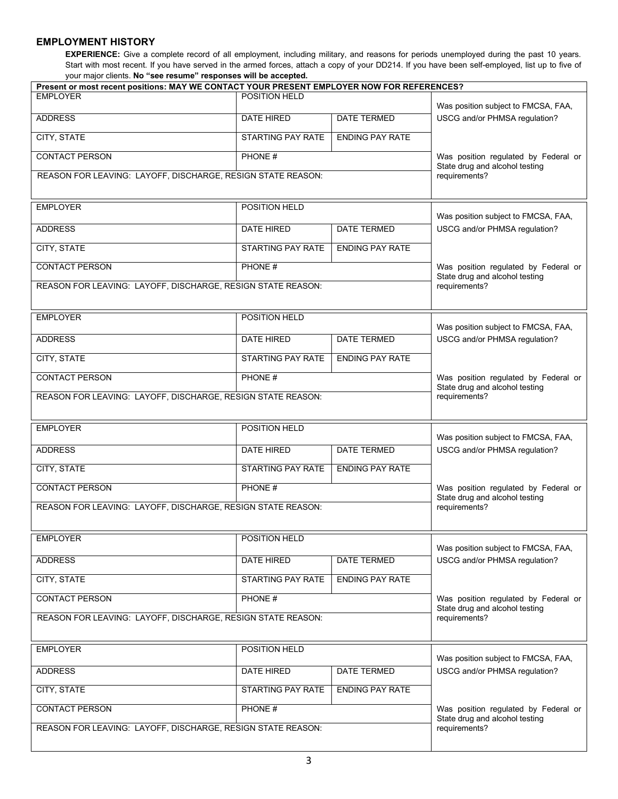## **EMPLOYMENT HISTORY**

**EXPERIENCE:** Give a complete record of all employment, including military, and reasons for periods unemployed during the past 10 years. Start with most recent. If you have served in the armed forces, attach a copy of your DD214. If you have been self-employed, list up to five of your major clients. **No "see resume" responses will be accepted.**

| Present or most recent positions: MAY WE CONTACT YOUR PRESENT EMPLOYER NOW FOR REFERENCES? |                          |                        |                                                                        |
|--------------------------------------------------------------------------------------------|--------------------------|------------------------|------------------------------------------------------------------------|
| <b>EMPLOYER</b>                                                                            | POSITION HELD            |                        | Was position subject to FMCSA, FAA,                                    |
| <b>ADDRESS</b>                                                                             | DATE HIRED               | DATE TERMED            | USCG and/or PHMSA regulation?                                          |
| CITY, STATE                                                                                | <b>STARTING PAY RATE</b> | <b>ENDING PAY RATE</b> |                                                                        |
| <b>CONTACT PERSON</b>                                                                      | PHONE#                   |                        | Was position regulated by Federal or<br>State drug and alcohol testing |
| REASON FOR LEAVING: LAYOFF, DISCHARGE, RESIGN STATE REASON:                                |                          |                        | requirements?                                                          |
| <b>EMPLOYER</b>                                                                            | POSITION HELD            |                        | Was position subject to FMCSA, FAA,                                    |
| <b>ADDRESS</b>                                                                             | DATE HIRED               | DATE TERMED            | USCG and/or PHMSA regulation?                                          |
| CITY, STATE                                                                                | STARTING PAY RATE        | <b>ENDING PAY RATE</b> |                                                                        |
| <b>CONTACT PERSON</b>                                                                      | PHONE #                  |                        | Was position regulated by Federal or<br>State drug and alcohol testing |
| REASON FOR LEAVING: LAYOFF, DISCHARGE, RESIGN STATE REASON:                                |                          |                        | requirements?                                                          |
| <b>EMPLOYER</b>                                                                            | POSITION HELD            |                        | Was position subject to FMCSA, FAA,                                    |
| <b>ADDRESS</b>                                                                             | DATE HIRED               | DATE TERMED            | USCG and/or PHMSA regulation?                                          |
| CITY, STATE                                                                                | <b>STARTING PAY RATE</b> | <b>ENDING PAY RATE</b> |                                                                        |
| <b>CONTACT PERSON</b>                                                                      | PHONE #                  |                        | Was position regulated by Federal or<br>State drug and alcohol testing |
| REASON FOR LEAVING: LAYOFF, DISCHARGE, RESIGN STATE REASON:                                |                          |                        | requirements?                                                          |
| <b>EMPLOYER</b>                                                                            | POSITION HELD            |                        | Was position subject to FMCSA, FAA,                                    |
| <b>ADDRESS</b>                                                                             | DATE HIRED               | DATE TERMED            | USCG and/or PHMSA regulation?                                          |
| CITY, STATE                                                                                | STARTING PAY RATE        | <b>ENDING PAY RATE</b> |                                                                        |
| <b>CONTACT PERSON</b>                                                                      | PHONE #                  |                        | Was position regulated by Federal or<br>State drug and alcohol testing |
| REASON FOR LEAVING: LAYOFF, DISCHARGE, RESIGN STATE REASON:                                |                          |                        | requirements?                                                          |
| <b>EMPLOYER</b>                                                                            | POSITION HELD            |                        | Was position subject to FMCSA, FAA,                                    |
| <b>ADDRESS</b>                                                                             | DATE HIRED               | DATE TERMED            | USCG and/or PHMSA regulation?                                          |
| CITY, STATE                                                                                | STARTING PAY RATE        | <b>ENDING PAY RATE</b> |                                                                        |
| <b>CONTACT PERSON</b>                                                                      | PHONE #                  |                        | Was position regulated by Federal or<br>State drug and alcohol testing |
| REASON FOR LEAVING: LAYOFF, DISCHARGE, RESIGN STATE REASON:                                |                          |                        | requirements?                                                          |
| <b>EMPLOYER</b>                                                                            | POSITION HELD            |                        | Was position subject to FMCSA, FAA,                                    |
| <b>ADDRESS</b>                                                                             | DATE HIRED               | DATE TERMED            | USCG and/or PHMSA regulation?                                          |
| CITY, STATE                                                                                | STARTING PAY RATE        | <b>ENDING PAY RATE</b> |                                                                        |
| <b>CONTACT PERSON</b>                                                                      | PHONE #                  |                        | Was position regulated by Federal or<br>State drug and alcohol testing |
| REASON FOR LEAVING: LAYOFF, DISCHARGE, RESIGN STATE REASON:                                |                          |                        | requirements?                                                          |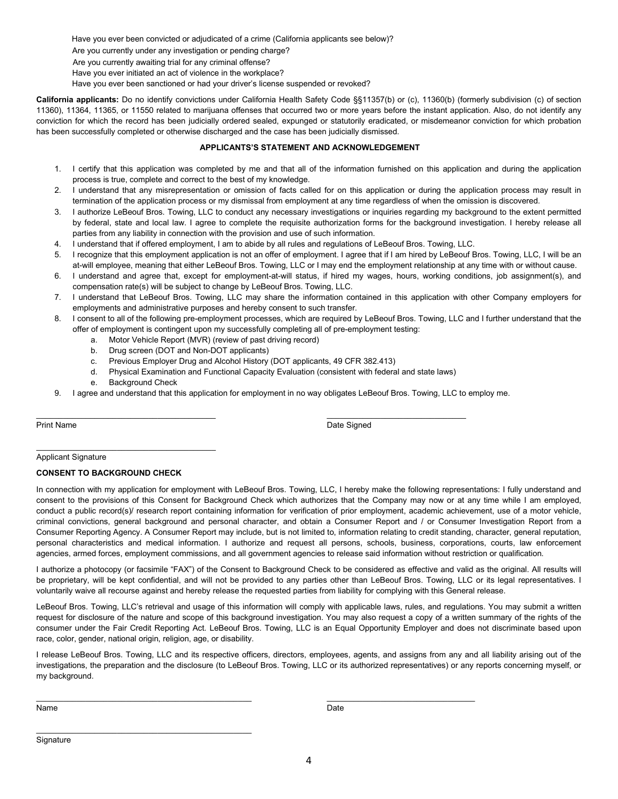Have you ever been convicted or adjudicated of a crime (California applicants see below)?

Are you currently under any investigation or pending charge?

Are you currently awaiting trial for any criminal offense?

Have you ever initiated an act of violence in the workplace?

Have you ever been sanctioned or had your driver's license suspended or revoked?

**California applicants:** Do no identify convictions under California Health Safety Code §§11357(b) or (c), 11360(b) (formerly subdivision (c) of section 11360), 11364, 11365, or 11550 related to marijuana offenses that occurred two or more years before the instant application. Also, do not identify any conviction for which the record has been judicially ordered sealed, expunged or statutorily eradicated, or misdemeanor conviction for which probation has been successfully completed or otherwise discharged and the case has been judicially dismissed.

### **APPLICANTS'S STATEMENT AND ACKNOWLEDGEMENT**

- 1. I certify that this application was completed by me and that all of the information furnished on this application and during the application process is true, complete and correct to the best of my knowledge.
- 2. I understand that any misrepresentation or omission of facts called for on this application or during the application process may result in termination of the application process or my dismissal from employment at any time regardless of when the omission is discovered.
- 3. I authorize LeBeouf Bros. Towing, LLC to conduct any necessary investigations or inquiries regarding my background to the extent permitted by federal, state and local law. I agree to complete the requisite authorization forms for the background investigation. I hereby release all parties from any liability in connection with the provision and use of such information.
- 4. I understand that if offered employment, I am to abide by all rules and regulations of LeBeouf Bros. Towing, LLC.
- 5. I recognize that this employment application is not an offer of employment. I agree that if I am hired by LeBeouf Bros. Towing, LLC, I will be an at-will employee, meaning that either LeBeouf Bros. Towing, LLC or I may end the employment relationship at any time with or without cause.
- 6. I understand and agree that, except for employment-at-will status, if hired my wages, hours, working conditions, job assignment(s), and compensation rate(s) will be subject to change by LeBeouf Bros. Towing, LLC.
- 7. I understand that LeBeouf Bros. Towing, LLC may share the information contained in this application with other Company employers for employments and administrative purposes and hereby consent to such transfer.
- 8. I consent to all of the following pre-employment processes, which are required by LeBeouf Bros. Towing, LLC and I further understand that the offer of employment is contingent upon my successfully completing all of pre-employment testing:
	- a. Motor Vehicle Report (MVR) (review of past driving record)
	- b. Drug screen (DOT and Non-DOT applicants)
	- c. Previous Employer Drug and Alcohol History (DOT applicants, 49 CFR 382.413)

 $\overline{\phantom{a}}$  , and the contribution of the contribution of the contribution of the contribution of the contribution of the contribution of the contribution of the contribution of the contribution of the contribution of the

- d. Physical Examination and Functional Capacity Evaluation (consistent with federal and state laws)
- e. Background Check
- 9. I agree and understand that this application for employment in no way obligates LeBeouf Bros. Towing, LLC to employ me.

Print Name Date Signed Control of the Signed Control of the Signed Control of the Signed Control of the Signed

Applicant Signature

#### **CONSENT TO BACKGROUND CHECK**

 $\frac{1}{2}$  , and the set of the set of the set of the set of the set of the set of the set of the set of the set of the set of the set of the set of the set of the set of the set of the set of the set of the set of the set

 $\mathcal{L}_\text{max}$  , and the set of the set of the set of the set of the set of the set of the set of the set of the set of the set of the set of the set of the set of the set of the set of the set of the set of the set of the

In connection with my application for employment with LeBeouf Bros. Towing, LLC, I hereby make the following representations: I fully understand and consent to the provisions of this Consent for Background Check which authorizes that the Company may now or at any time while I am employed, conduct a public record(s)/ research report containing information for verification of prior employment, academic achievement, use of a motor vehicle, criminal convictions, general background and personal character, and obtain a Consumer Report and / or Consumer Investigation Report from a Consumer Reporting Agency. A Consumer Report may include, but is not limited to, information relating to credit standing, character, general reputation, personal characteristics and medical information. I authorize and request all persons, schools, business, corporations, courts, law enforcement agencies, armed forces, employment commissions, and all government agencies to release said information without restriction or qualification.

I authorize a photocopy (or facsimile "FAX") of the Consent to Background Check to be considered as effective and valid as the original. All results will be proprietary, will be kept confidential, and will not be provided to any parties other than LeBeouf Bros. Towing, LLC or its legal representatives. I voluntarily waive all recourse against and hereby release the requested parties from liability for complying with this General release.

LeBeouf Bros. Towing, LLC's retrieval and usage of this information will comply with applicable laws, rules, and regulations. You may submit a written request for disclosure of the nature and scope of this background investigation. You may also request a copy of a written summary of the rights of the consumer under the Fair Credit Reporting Act. LeBeouf Bros. Towing, LLC is an Equal Opportunity Employer and does not discriminate based upon race, color, gender, national origin, religion, age, or disability.

I release LeBeouf Bros. Towing, LLC and its respective officers, directors, employees, agents, and assigns from any and all liability arising out of the investigations, the preparation and the disclosure (to LeBeouf Bros. Towing, LLC or its authorized representatives) or any reports concerning myself, or my background.

\_\_\_\_\_\_\_\_\_\_\_\_\_\_\_\_\_\_\_\_\_\_\_\_\_\_\_\_\_\_\_\_\_\_\_\_\_\_\_\_\_\_\_\_\_\_\_\_ \_\_\_\_\_\_\_\_\_\_\_\_\_\_\_\_\_\_\_\_\_\_\_\_\_\_\_\_\_\_\_\_\_

Name Date